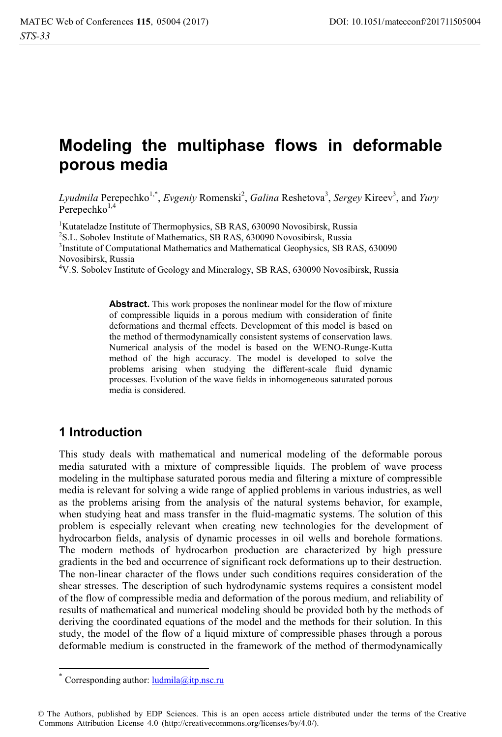# **Modeling the multiphase flows in deformable porous media**

Lyudmila Perepechko<sup>1,\*</sup>, *Evgeniy* Romenski<sup>2</sup>, *Galina* Reshetova<sup>3</sup>, *Sergey* Kireev<sup>3</sup>, and *Yury* Perepechko $1,4$ 

<sup>1</sup>Kutateladze Institute of Thermophysics, SB RAS, 630090 Novosibirsk, Russia <sup>2</sup>S.L. Sobolev Institute of Mathematics, SB RAS, 630090 Novosibirsk, Russia  $\frac{3}{2}$ Institute of Computational Mathematics and Mathematical Geophysics, SB R. <sup>3</sup>Institute of Computational Mathematics and Mathematical Geophysics, SB RAS, 630090 Novosibirsk, Russia

4 V.S. Sobolev Institute of Geology and Mineralogy, SB RAS, 630090 Novosibirsk, Russia

**Abstract.** This work proposes the nonlinear model for the flow of mixture of compressible liquids in a porous medium with consideration of finite deformations and thermal effects. Development of this model is based on the method of thermodynamically consistent systems of conservation laws. Numerical analysis of the model is based on the WENO-Runge-Kutta method of the high accuracy. The model is developed to solve the problems arising when studying the different-scale fluid dynamic processes. Evolution of the wave fields in inhomogeneous saturated porous media is considered.

## **1 Introduction**

This study deals with mathematical and numerical modeling of the deformable porous media saturated with a mixture of compressible liquids. The problem of wave process modeling in the multiphase saturated porous media and filtering a mixture of compressible media is relevant for solving a wide range of applied problems in various industries, as well as the problems arising from the analysis of the natural systems behavior, for example, when studying heat and mass transfer in the fluid-magmatic systems. The solution of this problem is especially relevant when creating new technologies for the development of hydrocarbon fields, analysis of dynamic processes in oil wells and borehole formations. The modern methods of hydrocarbon production are characterized by high pressure gradients in the bed and occurrence of significant rock deformations up to their destruction. The non-linear character of the flows under such conditions requires consideration of the shear stresses. The description of such hydrodynamic systems requires a consistent model of the flow of compressible media and deformation of the porous medium, and reliability of results of mathematical and numerical modeling should be provided both by the methods of deriving the coordinated equations of the model and the methods for their solution. In this study, the model of the flow of a liquid mixture of compressible phases through a porous deformable medium is constructed in the framework of the method of thermodynamically

 $\overline{a}$ 

Corresponding author:  $ludmila@itp,nsc.ru$ 

<sup>©</sup> The Authors, published by EDP Sciences. This is an open access article distributed under the terms of the Creative Commons Attribution License 4.0 (http://creativecommons.org/licenses/by/4.0/).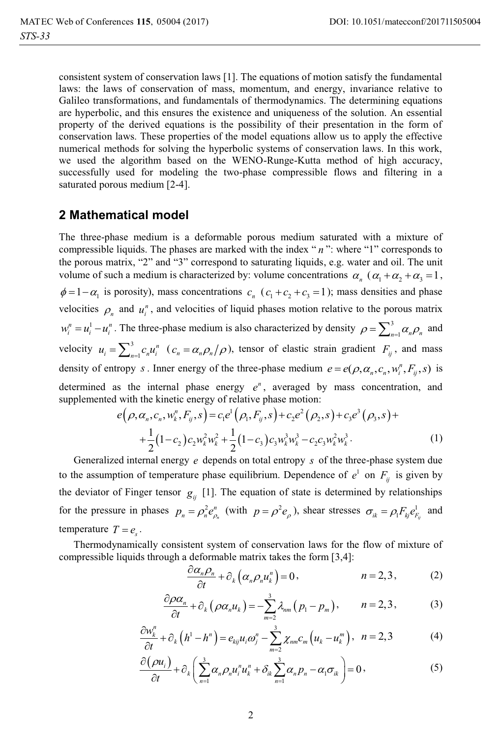consistent system of conservation laws [1]. The equations of motion satisfy the fundamental laws: the laws of conservation of mass, momentum, and energy, invariance relative to Galileo transformations, and fundamentals of thermodynamics. The determining equations are hyperbolic, and this ensures the existence and uniqueness of the solution. An essential property of the derived equations is the possibility of their presentation in the form of conservation laws. These properties of the model equations allow us to apply the effective numerical methods for solving the hyperbolic systems of conservation laws. In this work, we used the algorithm based on the WENO-Runge-Kutta method of high accuracy, successfully used for modeling the two-phase compressible flows and filtering in a saturated porous medium [2-4].

# **2 Mathematical model**

The three-phase medium is a deformable porous medium saturated with a mixture of compressible liquids. The phases are marked with the index " *n* ": where "1" corresponds to the porous matrix, "2" and "3" correspond to saturating liquids, e.g. water and oil. The unit volume of such a medium is characterized by: volume concentrations  $\alpha_n$  ( $\alpha_1 + \alpha_2 + \alpha_3 = 1$ ,  $\phi = 1 - \alpha_1$  is porosity), mass concentrations  $c_n$  ( $c_1 + c_2 + c_3 = 1$ ); mass densities and phase velocities  $\rho_n$  and  $u_i^n$ , and velocities of liquid phases motion relative to the porous matrix  $w_i^n = u_i^1 - u_i^n$ . The three-phase medium is also characterized by density  $\rho = \sum_{n=1}^3 \alpha_n \rho_n$  and velocity  $u_i = \sum_{n=1}^{3}$  $u_i = \sum_{n=1}^{3} c_n u_i^n$  ( $c_n = \alpha_n \rho_n / \rho$ ), tensor of elastic strain gradient  $F_{ij}$ , and mass density of entropy *s*. Inner energy of the three-phase medium  $e = e(\rho, \alpha_n, c_n, w_i^n, F_{ij}, s)$  is determined as the internal phase energy  $e^n$ , averaged by mass concentration, and supplemented with the kinetic energy of relative phase motion:

$$
e(\rho, \alpha_n, c_n, w_k^n, F_{ij}, s) = c_1 e^1 (\rho_1, F_{ij}, s) + c_2 e^2 (\rho_2, s) + c_3 e^3 (\rho_3, s) + + \frac{1}{2} (1 - c_2) c_2 w_k^2 w_k^2 + \frac{1}{2} (1 - c_3) c_3 w_k^3 w_k^3 - c_2 c_3 w_k^2 w_k^3.
$$
 (1)

Generalized internal energy *e* depends on total entropy *s* of the three-phase system due to the assumption of temperature phase equilibrium. Dependence of  $e^1$  on  $F_{ij}$  is given by the deviator of Finger tensor  $g_{ij}$  [1]. The equation of state is determined by relationships for the pressure in phases  $p_n = \rho_n^2 e_{\rho_n}^n$  $p_n = \rho_n^2 e_{\rho_n}^n$  (with  $p = \rho^2 e_{\rho}$ ), shear stresses  $\sigma_{ik} = \rho_i F_{kj} e_{F_{ij}}^1$  and temperature  $T = e$ .

Thermodynamically consistent system of conservation laws for the flow of mixture of compressible liquids through a deformable matrix takes the form [3,4]:

$$
\frac{\partial \alpha_n \rho_n}{\partial t} + \partial_k \left( \alpha_n \rho_n u_k^n \right) = 0, \qquad n = 2, 3, \qquad (2)
$$

$$
\frac{\partial \rho \alpha_n}{\partial t} + \partial_k (\rho \alpha_n u_k) = -\sum_{m=2}^3 \lambda_{nm} (p_1 - p_m), \qquad n = 2, 3, \tag{3}
$$

$$
\frac{\partial w_k^n}{\partial t} + \partial_k \left( h^1 - h^n \right) = e_{kj} u_i \omega_j^n - \sum_{m=2}^3 \chi_{nm} c_m \left( u_k - u_k^m \right), \quad n = 2, 3 \tag{4}
$$

$$
\frac{\partial (\rho u_i)}{\partial t} + \partial_k \left( \sum_{n=1}^3 \alpha_n \rho_n u_i^n u_k^n + \delta_{ik} \sum_{n=1}^3 \alpha_n p_n - \alpha_i \sigma_{ik} \right) = 0, \qquad (5)
$$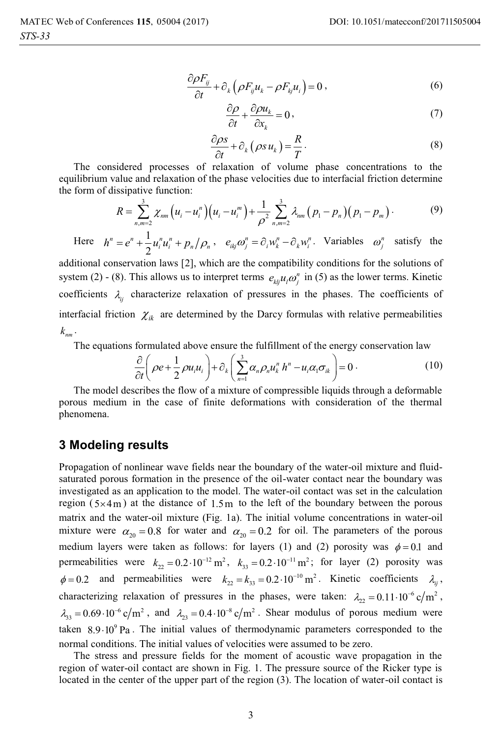$$
\frac{\partial \rho F_{ij}}{\partial t} + \partial_k \left( \rho F_{ij} u_k - \rho F_{kj} u_i \right) = 0 , \qquad (6)
$$

$$
\frac{\partial \rho}{\partial t} + \frac{\partial \rho u_k}{\partial x_k} = 0, \qquad (7)
$$

$$
\frac{\partial \rho s}{\partial t} + \partial_k (\rho s u_k) = \frac{R}{T}.
$$
\n(8)

The considered processes of relaxation of volume phase concentrations to the equilibrium value and relaxation of the phase velocities due to interfacial friction determine the form of dissipative function:

$$
R = \sum_{n,m=2}^{3} \chi_{nm} \left( u_i - u_i^m \right) \left( u_i - u_i^m \right) + \frac{1}{\rho^2} \sum_{n,m=2}^{3} \lambda_{nm} \left( p_1 - p_n \right) \left( p_1 - p_m \right). \tag{9}
$$

Here  $h^n = e^n + \frac{1}{h}$ 2  $h^n = e^n + \frac{1}{2} u_i^n u_i^n + p_n / \rho_n$ ,  $e_{ikj} \omega_j^n = \partial_i w_k^n - \partial_k w_i^n$ . Variables  $\omega_j^n$  satisfy the

additional conservation laws [2], which are the compatibility conditions for the solutions of system (2) - (8). This allows us to interpret terms  $e_{kij}u_i\omega_j^n$  in (5) as the lower terms. Kinetic coefficients  $\lambda_{ij}$  characterize relaxation of pressures in the phases. The coefficients of interfacial friction  $\chi_{ik}$  are determined by the Darcy formulas with relative permeabilities  $k_{nm}$ .

The equations formulated above ensure the fulfillment of the energy conservation law

$$
\frac{\partial}{\partial t}\left(\rho e + \frac{1}{2}\rho u_i u_i\right) + \partial_k \left(\sum_{n=1}^3 \alpha_n \rho_n u_k^n h^n - u_i \alpha_1 \sigma_{ik}\right) = 0.
$$
\n(10)

The model describes the flow of a mixture of compressible liquids through a deformable porous medium in the case of finite deformations with consideration of the thermal phenomena.

#### **3 Modeling results**

Propagation of nonlinear wave fields near the boundary of the water-oil mixture and fluidsaturated porous formation in the presence of the oil-water contact near the boundary was investigated as an application to the model. The water-oil contact was set in the calculation region  $(5\times4\,\text{m})$  at the distance of 1.5m to the left of the boundary between the porous matrix and the water-oil mixture (Fig. 1a). The initial volume concentrations in water-oil mixture were  $\alpha_{20} = 0.8$  for water and  $\alpha_{20} = 0.2$  for oil. The parameters of the porous medium layers were taken as follows: for layers (1) and (2) porosity was  $\phi = 0.1$  and permeabilities were  $k_{22} = 0.2 \cdot 10^{-12} \text{ m}^2$ ,  $k_{33} = 0.2 \cdot 10^{-11} \text{ m}^2$ ; for layer (2) porosity was  $\phi = 0.2$  and permeabilities were  $k_{22} = k_{33} = 0.2 \cdot 10^{-10} \text{ m}^2$ . Kinetic coefficients  $\lambda_{ij}$ , characterizing relaxation of pressures in the phases, were taken:  $\lambda_{22} = 0.11 \cdot 10^{-6} \text{ c/m}^2$ ,  $\lambda_{33} = 0.69 \cdot 10^{-6} \text{ c/m}^2$ , and  $\lambda_{23} = 0.4 \cdot 10^{-8} \text{ c/m}^2$ . Shear modulus of porous medium were taken  $8.9 \cdot 10^9$  Pa. The initial values of thermodynamic parameters corresponded to the normal conditions. The initial values of velocities were assumed to be zero.

The stress and pressure fields for the moment of acoustic wave propagation in the region of water-oil contact are shown in Fig. 1. The pressure source of the Ricker type is located in the center of the upper part of the region (3). The location of water-oil contact is